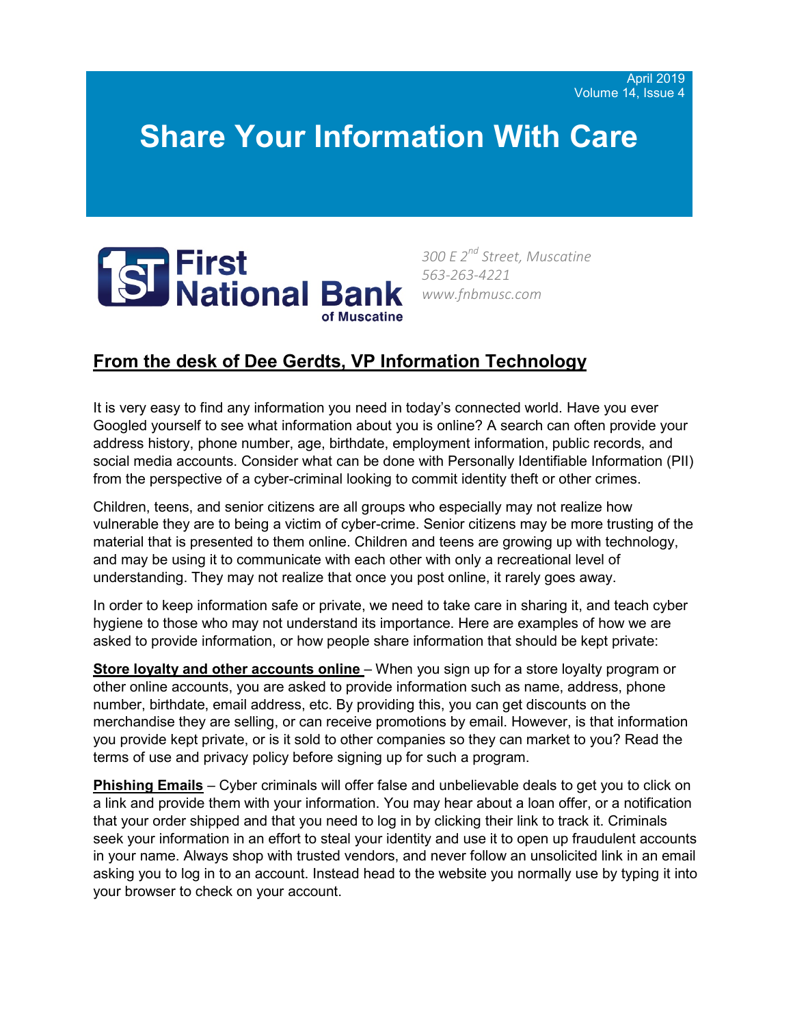## **Share Your Information With Care**



*300 E 2nd Street, Muscatine 563-263-4221 www.fnbmusc.com*

## **From the desk of Dee Gerdts, VP Information Technology**

It is very easy to find any information you need in today's connected world. Have you ever Googled yourself to see what information about you is online? A search can often provide your address history, phone number, age, birthdate, employment information, public records, and social media accounts. Consider what can be done with Personally Identifiable Information (PII) from the perspective of a cyber-criminal looking to commit identity theft or other crimes.

Children, teens, and senior citizens are all groups who especially may not realize how vulnerable they are to being a victim of cyber-crime. Senior citizens may be more trusting of the material that is presented to them online. Children and teens are growing up with technology, and may be using it to communicate with each other with only a recreational level of understanding. They may not realize that once you post online, it rarely goes away.

In order to keep information safe or private, we need to take care in sharing it, and teach cyber hygiene to those who may not understand its importance. Here are examples of how we are asked to provide information, or how people share information that should be kept private:

**Store loyalty and other accounts online** – When you sign up for a store loyalty program or other online accounts, you are asked to provide information such as name, address, phone number, birthdate, email address, etc. By providing this, you can get discounts on the merchandise they are selling, or can receive promotions by email. However, is that information you provide kept private, or is it sold to other companies so they can market to you? Read the terms of use and privacy policy before signing up for such a program.

**Phishing Emails** – Cyber criminals will offer false and unbelievable deals to get you to click on a link and provide them with your information. You may hear about a loan offer, or a notification that your order shipped and that you need to log in by clicking their link to track it. Criminals seek your information in an effort to steal your identity and use it to open up fraudulent accounts in your name. Always shop with trusted vendors, and never follow an unsolicited link in an email asking you to log in to an account. Instead head to the website you normally use by typing it into your browser to check on your account.